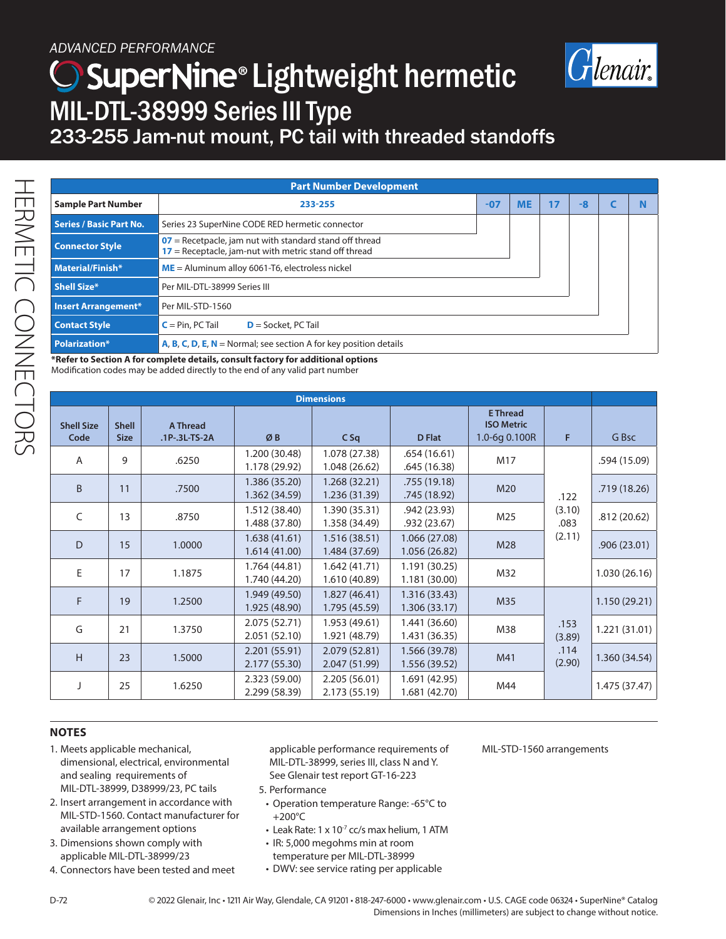## SuperNine® Lightweight hermetic MIL-DTL-38999 Series III Type 233-255 Jam-nut mount, PC tail with threaded standoffs



| <b>Part Number Development</b> |                                                                                                                                                                    |       |           |    |    |  |  |
|--------------------------------|--------------------------------------------------------------------------------------------------------------------------------------------------------------------|-------|-----------|----|----|--|--|
| <b>Sample Part Number</b>      | 233-255                                                                                                                                                            | $-07$ | <b>ME</b> | 17 | -8 |  |  |
| <b>Series / Basic Part No.</b> | Series 23 SuperNine CODE RED hermetic connector                                                                                                                    |       |           |    |    |  |  |
| <b>Connector Style</b>         | $07$ = Recetpacle, jam nut with standard stand off thread<br>$17$ = Receptacle, jam-nut with metric stand off thread                                               |       |           |    |    |  |  |
| Material/Finish*               | $ME =$ Aluminum alloy 6061-T6, electroless nickel                                                                                                                  |       |           |    |    |  |  |
| <b>Shell Size*</b>             | Per MIL-DTL-38999 Series III                                                                                                                                       |       |           |    |    |  |  |
| Insert Arrangement*            | Per MIL-STD-1560                                                                                                                                                   |       |           |    |    |  |  |
| <b>Contact Style</b>           | $C = Pin, PC Tail$<br>$D =$ Socket, PC Tail                                                                                                                        |       |           |    |    |  |  |
| Polarization*                  | A, B, C, D, E, $N =$ Normal; see section A for key position details                                                                                                |       |           |    |    |  |  |
|                                | $\mathbf{r}$ , $\mathbf{r}$ , $\mathbf{r}$ , $\mathbf{r}$ , $\mathbf{r}$ , $\mathbf{r}$ , $\mathbf{r}$ , $\mathbf{r}$ , $\mathbf{r}$ , $\mathbf{r}$ , $\mathbf{r}$ |       |           |    |    |  |  |

**\*Refer to Section A for complete details, consult factory for additional options**  Modification codes may be added directly to the end of any valid part number

| <b>Dimensions</b>         |                             |                             |                                |                                |                                |                                                       |                          |               |
|---------------------------|-----------------------------|-----------------------------|--------------------------------|--------------------------------|--------------------------------|-------------------------------------------------------|--------------------------|---------------|
| <b>Shell Size</b><br>Code | <b>Shell</b><br><b>Size</b> | A Thread<br>$.1P-.3L-TS-2A$ | ØB                             | $C$ Sq                         | <b>D</b> Flat                  | <b>E</b> Thread<br><b>ISO Metric</b><br>1.0-6g 0.100R | F.                       | G Bsc         |
| A                         | 9                           | .6250                       | 1.200 (30.48)<br>1.178 (29.92) | 1.078 (27.38)<br>1.048 (26.62) | .654(16.61)<br>.645 (16.38)    | M17                                                   |                          | .594 (15.09)  |
| B                         | 11                          | .7500                       | 1.386 (35.20)<br>1.362 (34.59) | 1.268 (32.21)<br>1.236 (31.39) | .755 (19.18)<br>.745 (18.92)   | M20                                                   | .122                     | .719 (18.26)  |
| C                         | 13                          | .8750                       | 1.512 (38.40)<br>1.488 (37.80) | 1.390 (35.31)<br>1.358 (34.49) | .942 (23.93)<br>.932 (23.67)   | M25                                                   | (3.10)<br>.083<br>(2.11) | .812 (20.62)  |
| D                         | 15                          | 1.0000                      | 1.638(41.61)<br>1.614(41.00)   | 1.516(38.51)<br>1.484 (37.69)  | 1.066 (27.08)<br>1.056 (26.82) | M28                                                   |                          | .906 (23.01)  |
| E                         | 17                          | 1.1875                      | 1.764 (44.81)<br>1.740 (44.20) | 1.642(41.71)<br>1.610 (40.89)  | 1.191(30.25)<br>1.181 (30.00)  | M32                                                   |                          | 1.030(26.16)  |
| F                         | 19                          | 1.2500                      | 1.949 (49.50)<br>1.925 (48.90) | 1.827(46.41)<br>1.795 (45.59)  | 1.316(33.43)<br>1.306(33.17)   | M35                                                   |                          | 1.150(29.21)  |
| G                         | 21                          | 1.3750                      | 2.075 (52.71)<br>2.051 (52.10) | 1.953 (49.61)<br>1.921 (48.79) | 1.441 (36.60)<br>1.431 (36.35) | M38                                                   | .153<br>(3.89)           | 1.221 (31.01) |
| H                         | 23                          | 1.5000                      | 2.201 (55.91)<br>2.177 (55.30) | 2.079 (52.81)<br>2.047 (51.99) | 1.566 (39.78)<br>1.556 (39.52) | M41                                                   | .114<br>(2.90)           | 1.360 (34.54) |
|                           | 25                          | 1.6250                      | 2.323 (59.00)<br>2.299 (58.39) | 2.205(56.01)<br>2.173 (55.19)  | 1.691 (42.95)<br>1.681 (42.70) | M44                                                   |                          | 1.475 (37.47) |

## **NOTES**

- 1. Meets applicable mechanical, dimensional, electrical, environmental and sealing requirements of MIL-DTL-38999, D38999/23, PC tails
- 2. Insert arrangement in accordance with MIL-STD-1560. Contact manufacturer for available arrangement options
- 3. Dimensions shown comply with applicable MIL-DTL-38999/23
- 4. Connectors have been tested and meet

applicable performance requirements of MIL-DTL-38999, series III, class N and Y. See Glenair test report GT-16-223

- 5. Performance
- Operation temperature Range: -65°C to +200°C
- $\cdot$  Leak Rate: 1 x 10<sup>-7</sup> cc/s max helium, 1 ATM
- IR: 5,000 megohms min at room temperature per MIL-DTL-38999
- DWV: see service rating per applicable

MIL-STD-1560 arrangements